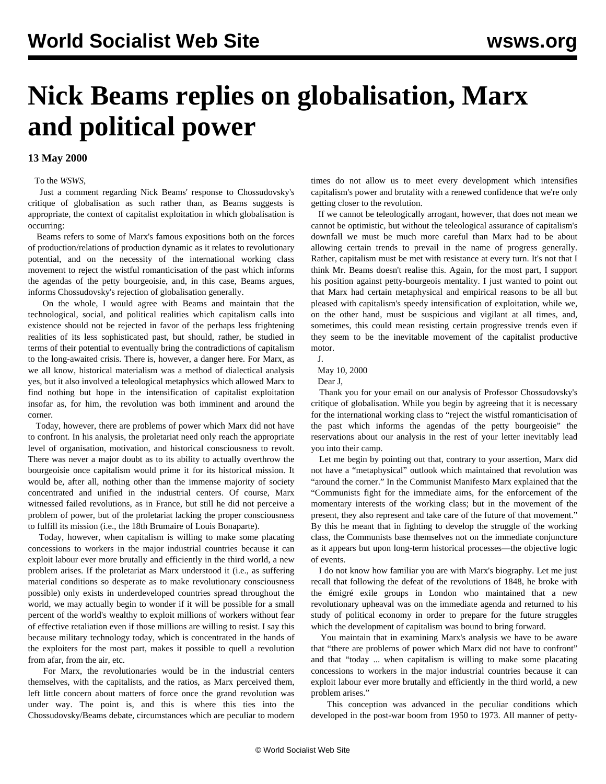## **Nick Beams replies on globalisation, Marx and political power**

## **13 May 2000**

To the *WSWS*,

 Just a comment regarding Nick Beams' response to Chossudovsky's critique of globalisation as such rather than, as Beams suggests is appropriate, the context of capitalist exploitation in which globalisation is occurring:

 Beams refers to some of Marx's famous expositions both on the forces of production/relations of production dynamic as it relates to revolutionary potential, and on the necessity of the international working class movement to reject the wistful romanticisation of the past which informs the agendas of the petty bourgeoisie, and, in this case, Beams argues, informs Chossudovsky's rejection of globalisation generally.

 On the whole, I would agree with Beams and maintain that the technological, social, and political realities which capitalism calls into existence should not be rejected in favor of the perhaps less frightening realities of its less sophisticated past, but should, rather, be studied in terms of their potential to eventually bring the contradictions of capitalism to the long-awaited crisis. There is, however, a danger here. For Marx, as we all know, historical materialism was a method of dialectical analysis yes, but it also involved a teleological metaphysics which allowed Marx to find nothing but hope in the intensification of capitalist exploitation insofar as, for him, the revolution was both imminent and around the corner.

 Today, however, there are problems of power which Marx did not have to confront. In his analysis, the proletariat need only reach the appropriate level of organisation, motivation, and historical consciousness to revolt. There was never a major doubt as to its ability to actually overthrow the bourgeoisie once capitalism would prime it for its historical mission. It would be, after all, nothing other than the immense majority of society concentrated and unified in the industrial centers. Of course, Marx witnessed failed revolutions, as in France, but still he did not perceive a problem of power, but of the proletariat lacking the proper consciousness to fulfill its mission (i.e., the 18th Brumaire of Louis Bonaparte).

 Today, however, when capitalism is willing to make some placating concessions to workers in the major industrial countries because it can exploit labour ever more brutally and efficiently in the third world, a new problem arises. If the proletariat as Marx understood it (i.e., as suffering material conditions so desperate as to make revolutionary consciousness possible) only exists in underdeveloped countries spread throughout the world, we may actually begin to wonder if it will be possible for a small percent of the world's wealthy to exploit millions of workers without fear of effective retaliation even if those millions are willing to resist. I say this because military technology today, which is concentrated in the hands of the exploiters for the most part, makes it possible to quell a revolution from afar, from the air, etc.

 For Marx, the revolutionaries would be in the industrial centers themselves, with the capitalists, and the ratios, as Marx perceived them, left little concern about matters of force once the grand revolution was under way. The point is, and this is where this ties into the Chossudovsky/Beams debate, circumstances which are peculiar to modern times do not allow us to meet every development which intensifies capitalism's power and brutality with a renewed confidence that we're only getting closer to the revolution.

 If we cannot be teleologically arrogant, however, that does not mean we cannot be optimistic, but without the teleological assurance of capitalism's downfall we must be much more careful than Marx had to be about allowing certain trends to prevail in the name of progress generally. Rather, capitalism must be met with resistance at every turn. It's not that I think Mr. Beams doesn't realise this. Again, for the most part, I support his position against petty-bourgeois mentality. I just wanted to point out that Marx had certain metaphysical and empirical reasons to be all but pleased with capitalism's speedy intensification of exploitation, while we, on the other hand, must be suspicious and vigilant at all times, and, sometimes, this could mean resisting certain progressive trends even if they seem to be the inevitable movement of the capitalist productive motor.

 J. May 10, 2000

Dear J,

 Thank you for your email on our analysis of Professor Chossudovsky's critique of globalisation. While you begin by agreeing that it is necessary for the international working class to "reject the wistful romanticisation of the past which informs the agendas of the petty bourgeoisie" the reservations about our analysis in the rest of your letter inevitably lead you into their camp.

 Let me begin by pointing out that, contrary to your assertion, Marx did not have a "metaphysical" outlook which maintained that revolution was "around the corner." In the Communist Manifesto Marx explained that the "Communists fight for the immediate aims, for the enforcement of the momentary interests of the working class; but in the movement of the present, they also represent and take care of the future of that movement." By this he meant that in fighting to develop the struggle of the working class, the Communists base themselves not on the immediate conjuncture as it appears but upon long-term historical processes—the objective logic of events.

 I do not know how familiar you are with Marx's biography. Let me just recall that following the defeat of the revolutions of 1848, he broke with the émigré exile groups in London who maintained that a new revolutionary upheaval was on the immediate agenda and returned to his study of political economy in order to prepare for the future struggles which the development of capitalism was bound to bring forward.

 You maintain that in examining Marx's analysis we have to be aware that "there are problems of power which Marx did not have to confront" and that "today ... when capitalism is willing to make some placating concessions to workers in the major industrial countries because it can exploit labour ever more brutally and efficiently in the third world, a new problem arises."

 This conception was advanced in the peculiar conditions which developed in the post-war boom from 1950 to 1973. All manner of petty